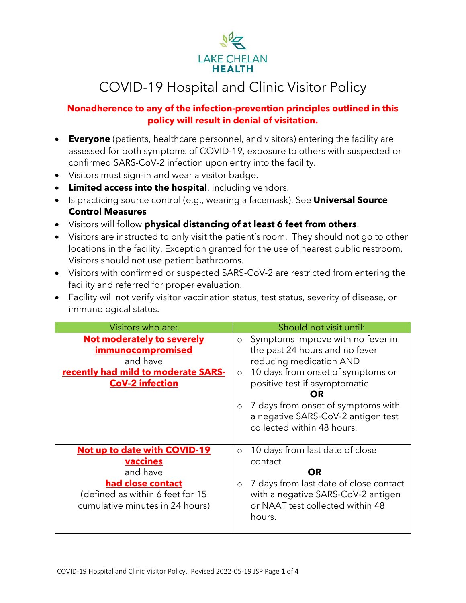

# COVID-19 Hospital and Clinic Visitor Policy

#### **Nonadherence to any of the infection-prevention principles outlined in this policy will result in denial of visitation.**

- **Everyone** (patients, healthcare personnel, and visitors) entering the facility are assessed for both symptoms of COVID-19, exposure to others with suspected or confirmed SARS-CoV-2 infection upon entry into the facility.
- Visitors must sign-in and wear a visitor badge.
- **Limited access into the hospital**, including vendors.
- Is practicing source control (e.g., wearing a facemask). See **Universal Source Control Measures**
- Visitors will follow **physical distancing of at least 6 feet from others**.
- Visitors are instructed to only visit the patient's room. They should not go to other locations in the facility. Exception granted for the use of nearest public restroom. Visitors should not use patient bathrooms.
- Visitors with confirmed or suspected SARS-CoV-2 are restricted from entering the facility and referred for proper evaluation.
- Facility will not verify visitor vaccination status, test status, severity of disease, or immunological status.

| Visitors who are:                                                                                                                                       | Should not visit until:                                                                                                                                                                                                                                                                                                |
|---------------------------------------------------------------------------------------------------------------------------------------------------------|------------------------------------------------------------------------------------------------------------------------------------------------------------------------------------------------------------------------------------------------------------------------------------------------------------------------|
| Not moderately to severely<br><b>immunocompromised</b><br>and have<br>recently had mild to moderate SARS-<br><b>CoV-2 infection</b>                     | Symptoms improve with no fever in<br>$\circ$<br>the past 24 hours and no fever<br>reducing medication AND<br>10 days from onset of symptoms or<br>$\circ$<br>positive test if asymptomatic<br>OR.<br>7 days from onset of symptoms with<br>$\circ$<br>a negative SARS-CoV-2 antigen test<br>collected within 48 hours. |
| Not up to date with COVID-19<br><b>vaccines</b><br>and have<br>had close contact<br>(defined as within 6 feet for 15<br>cumulative minutes in 24 hours) | 10 days from last date of close<br>$\circ$<br>contact<br><b>OR</b><br>7 days from last date of close contact<br>$\circ$<br>with a negative SARS-CoV-2 antigen<br>or NAAT test collected within 48<br>hours.                                                                                                            |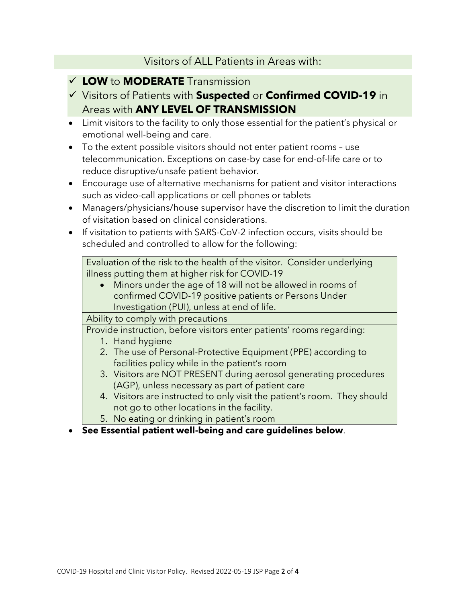### Visitors of ALL Patients in Areas with:

### ✓ **LOW** to **MODERATE** Transmission

- ✓ Visitors of Patients with **Suspected** or **Confirmed COVID-19** in Areas with **ANY LEVEL OF TRANSMISSION**
- Limit visitors to the facility to only those essential for the patient's physical or emotional well-being and care.
- To the extent possible visitors should not enter patient rooms use telecommunication. Exceptions on case-by case for end-of-life care or to reduce disruptive/unsafe patient behavior.
- Encourage use of alternative mechanisms for patient and visitor interactions such as video-call applications or cell phones or tablets
- Managers/physicians/house supervisor have the discretion to limit the duration of visitation based on clinical considerations.
- If visitation to patients with SARS-CoV-2 infection occurs, visits should be scheduled and controlled to allow for the following:

Evaluation of the risk to the health of the visitor. Consider underlying illness putting them at higher risk for COVID-19

• Minors under the age of 18 will not be allowed in rooms of confirmed COVID-19 positive patients or Persons Under Investigation (PUI), unless at end of life.

Ability to comply with precautions

Provide instruction, before visitors enter patients' rooms regarding:

- 1. Hand hygiene
- 2. The use of Personal-Protective Equipment (PPE) according to facilities policy while in the patient's room
- 3. Visitors are NOT PRESENT during aerosol generating procedures (AGP), unless necessary as part of patient care
- 4. Visitors are instructed to only visit the patient's room. They should not go to other locations in the facility.
- 5. No eating or drinking in patient's room
- **See Essential patient well-being and care guidelines below**.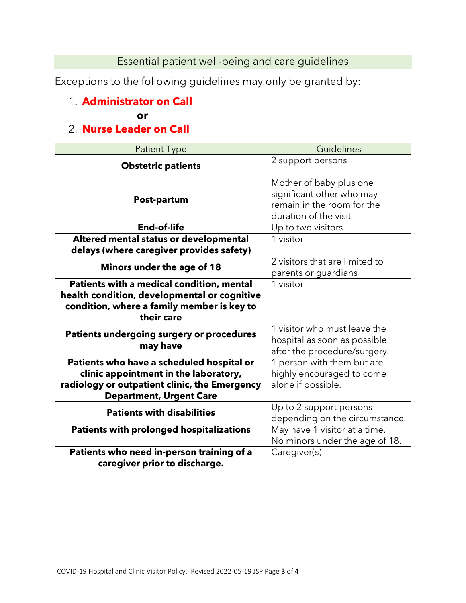Essential patient well-being and care guidelines

Exceptions to the following guidelines may only be granted by:

# 1. **Administrator on Call**

#### **or**

# 2. **Nurse Leader on Call**

| <b>Patient Type</b>                                                                                                                                                   | Guidelines                                                                                                  |
|-----------------------------------------------------------------------------------------------------------------------------------------------------------------------|-------------------------------------------------------------------------------------------------------------|
| <b>Obstetric patients</b>                                                                                                                                             | 2 support persons                                                                                           |
| Post-partum                                                                                                                                                           | Mother of baby plus one<br>significant other who may<br>remain in the room for the<br>duration of the visit |
| <b>End-of-life</b>                                                                                                                                                    | Up to two visitors                                                                                          |
| Altered mental status or developmental<br>delays (where caregiver provides safety)                                                                                    | 1 visitor                                                                                                   |
| Minors under the age of 18                                                                                                                                            | 2 visitors that are limited to<br>parents or guardians                                                      |
| Patients with a medical condition, mental<br>health condition, developmental or cognitive<br>condition, where a family member is key to<br>their care                 | 1 visitor                                                                                                   |
| <b>Patients undergoing surgery or procedures</b><br>may have                                                                                                          | 1 visitor who must leave the<br>hospital as soon as possible<br>after the procedure/surgery.                |
| Patients who have a scheduled hospital or<br>clinic appointment in the laboratory,<br>radiology or outpatient clinic, the Emergency<br><b>Department, Urgent Care</b> | 1 person with them but are<br>highly encouraged to come<br>alone if possible.                               |
| <b>Patients with disabilities</b>                                                                                                                                     | Up to 2 support persons<br>depending on the circumstance.                                                   |
| <b>Patients with prolonged hospitalizations</b>                                                                                                                       | May have 1 visitor at a time.<br>No minors under the age of 18.                                             |
| Patients who need in-person training of a<br>caregiver prior to discharge.                                                                                            | Caregiver(s)                                                                                                |